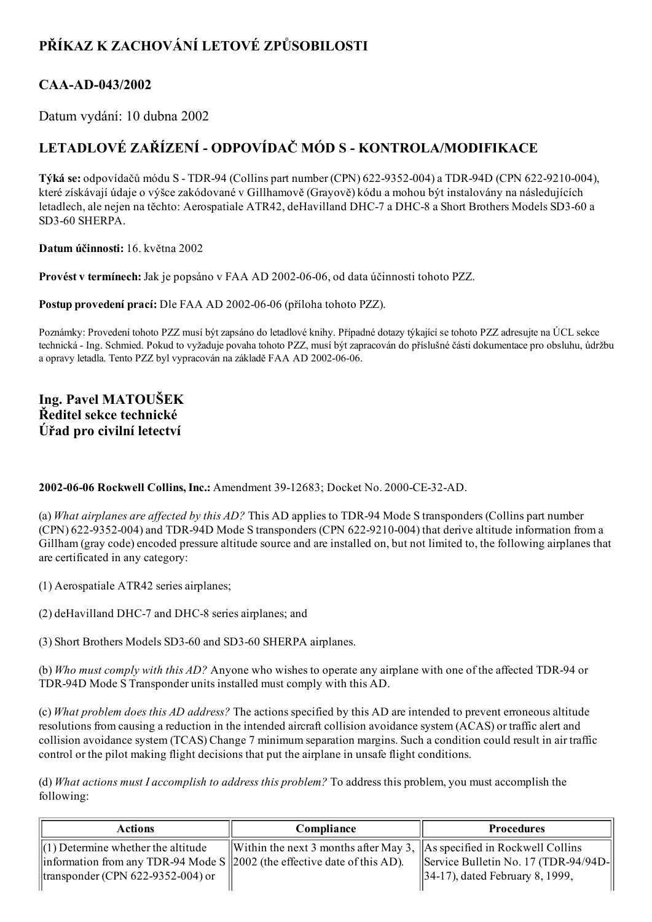# PŘÍKAZ K ZACHOVÁNÍ LETOVÉ ZPŮSOBILOSTI

### CAA-AD-043/2002

Datum vydání: 10 dubna 2002

# LETADLOVÉ ZAŘÍZENÍ - ODPOVÍDAČ MÓD S - KONTROLA/MODIFIKACE

Týká se: odpovídačů módu S - TDR-94 (Collins part number (CPN) 622-9352-004) a TDR-94D (CPN 622-9210-004), které získávají údaje o výšce zakódované v Gillhamově (Grayově) kódu a mohou být instalovány na následujících letadlech, ale nejen na těchto: Aerospatiale ATR42, deHavilland DHC-7 a DHC-8 a Short Brothers Models SD3-60 a SD3-60 SHERPA.

Datum účinnosti: 16. května 2002

Provést v termínech: Jak je popsáno v FAA AD 2002-06-06, od data účinnosti tohoto PZZ.

Postup provedení prací: Dle FAA AD 2002-06-06 (příloha tohoto PZZ).

Poznámky: Provedení tohoto PZZ musí být zapsáno do letadlové knihy. Případné dotazy týkající se tohoto PZZ adresujte na ÚCL sekce technická Ing. Schmied. Pokud to vyžaduje povaha tohoto PZZ, musí být zapracován do příslušné části dokumentace pro obsluhu, údržbu a opravy letadla. Tento PZZ byl vypracován na základě FAA AD 2002-06-06.

#### Ing. Pavel MATOUŠEK Ředitel sekce technické Úřad pro civilní letectví

#### 2002-06-06 Rockwell Collins, Inc.: Amendment 39-12683; Docket No. 2000-CE-32-AD.

(a) What airplanes are affected by this  $AD$ ? This AD applies to TDR-94 Mode S transponders (Collins part number  $(CPN)$  622-9352-004) and TDR-94D Mode S transponders  $(CPN 622-9210-004)$  that derive altitude information from a Gillham (gray code) encoded pressure altitude source and are installed on, but not limited to, the following airplanes that are certificated in any category:

(1) Aerospatiale ATR42 series airplanes;

- (2) deHavilland DHC-7 and DHC-8 series airplanes; and
- (3) Short Brothers Models SD3-60 and SD3-60 SHERPA airplanes.

(b) Who must comply with this AD? Anyone who wishes to operate any airplane with one of the affected TDR-94 or TDR-94D Mode S Transponder units installed must comply with this AD.

(c) What problem does this AD address? The actions specified by this AD are intended to prevent erroneous altitude resolutions from causing a reduction in the intended aircraft collision avoidance system (ACAS) or traffic alert and collision avoidance system (TCAS) Change 7 minimum separation margins. Such a condition could result in air traffic control or the pilot making flight decisions that put the airplane in unsafe flight conditions.

(d) What actions must I accomplish to address this problem? To address this problem, you must accomplish the following:

| <b>Actions</b>                                                                     | Compliance                                                                         | <b>Procedures</b>                    |
|------------------------------------------------------------------------------------|------------------------------------------------------------------------------------|--------------------------------------|
| $\ $ (1) Determine whether the altitude                                            | Within the next 3 months after May 3, $\parallel$ As specified in Rockwell Collins |                                      |
| $\ $ information from any TDR-94 Mode S $\ $ 2002 (the effective date of this AD). |                                                                                    | Service Bulletin No. 17 (TDR-94/94D- |
| $\left \right $ transponder (CPN 622-9352-004) or                                  |                                                                                    | $  34-17 $ , dated February 8, 1999, |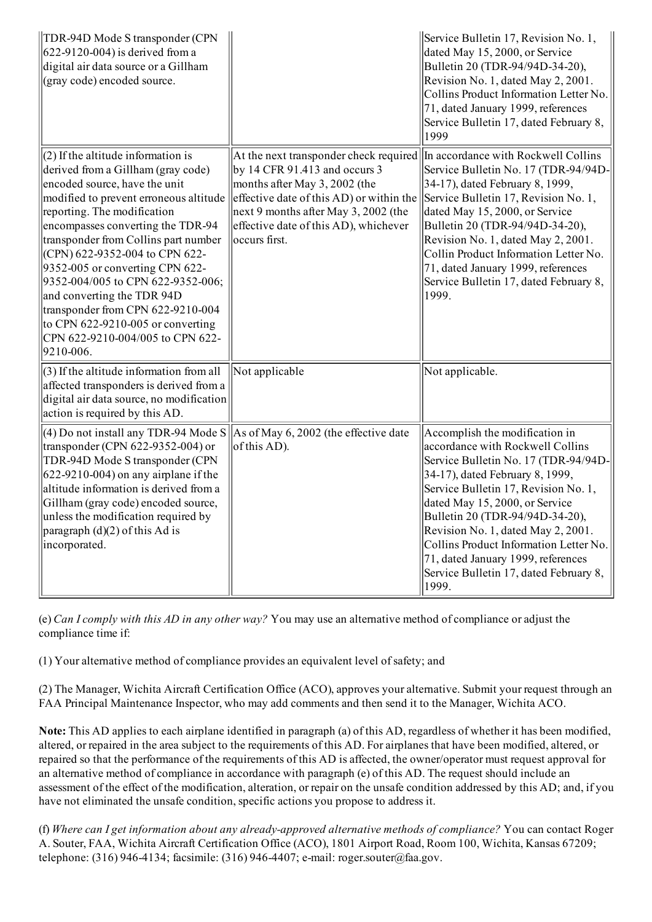| TDR-94D Mode S transponder (CPN<br>$622-9120-004$ ) is derived from a<br>digital air data source or a Gillham<br>(gray code) encoded source.                                                                                                                                                                                                                                                                                                                                                                                           |                                                                                                                                                                                                                                                             | Service Bulletin 17, Revision No. 1,<br>dated May 15, 2000, or Service<br>Bulletin 20 (TDR-94/94D-34-20),<br>Revision No. 1, dated May 2, 2001.<br>Collins Product Information Letter No.<br>71, dated January 1999, references<br>Service Bulletin 17, dated February 8,<br>1999                                                                                                                                                   |
|----------------------------------------------------------------------------------------------------------------------------------------------------------------------------------------------------------------------------------------------------------------------------------------------------------------------------------------------------------------------------------------------------------------------------------------------------------------------------------------------------------------------------------------|-------------------------------------------------------------------------------------------------------------------------------------------------------------------------------------------------------------------------------------------------------------|-------------------------------------------------------------------------------------------------------------------------------------------------------------------------------------------------------------------------------------------------------------------------------------------------------------------------------------------------------------------------------------------------------------------------------------|
| $(2)$ If the altitude information is<br>derived from a Gillham (gray code)<br>encoded source, have the unit<br>modified to prevent erroneous altitude<br>reporting. The modification<br>encompasses converting the TDR-94<br>transponder from Collins part number<br>(CPN) 622-9352-004 to CPN 622-<br>9352-005 or converting CPN 622-<br>9352-004/005 to CPN 622-9352-006;<br>and converting the TDR 94D<br>transponder from CPN 622-9210-004<br>to CPN $622-9210-005$ or converting<br>CPN 622-9210-004/005 to CPN 622-<br>9210-006. | At the next transponder check required<br>by 14 CFR 91.413 and occurs $3$<br>months after May $3,2002$ (the<br>effective date of this AD) or within the<br>$next 9$ months after May 3, 2002 (the<br>effective date of this AD), whichever<br>occurs first. | In accordance with Rockwell Collins<br>Service Bulletin No. 17 (TDR-94/94D-<br>34-17), dated February 8, 1999,<br>Service Bulletin 17, Revision No. 1,<br>dated May 15, 2000, or Service<br>Bulletin 20 (TDR-94/94D-34-20),<br>Revision No. 1, dated May 2, 2001.<br>Collin Product Information Letter No.<br>71, dated January 1999, references<br>Service Bulletin 17, dated February 8,<br>1999.                                 |
| $(3)$ If the altitude information from all<br>affected transponders is derived from a<br>digital air data source, no modification<br>action is required by this AD.                                                                                                                                                                                                                                                                                                                                                                    | Not applicable                                                                                                                                                                                                                                              | Not applicable.                                                                                                                                                                                                                                                                                                                                                                                                                     |
| (4) Do not install any TDR-94 Mode S<br>transponder (CPN $622-9352-004$ ) or<br>TDR-94D Mode S transponder (CPN<br>$622-9210-004$ ) on any airplane if the<br>altitude information is derived from a<br>Gillham (gray code) encoded source,<br>unless the modification required by<br>paragraph $(d)(2)$ of this Ad is<br>incorporated.                                                                                                                                                                                                | As of May 6, 2002 (the effective date<br>of this AD).                                                                                                                                                                                                       | Accomplish the modification in<br>accordance with Rockwell Collins<br>Service Bulletin No. 17 (TDR-94/94D-<br>34-17), dated February 8, 1999,<br>Service Bulletin 17, Revision No. 1,<br>dated May 15, 2000, or Service<br>Bulletin 20 (TDR-94/94D-34-20),<br>Revision No. 1, dated May 2, 2001.<br>Collins Product Information Letter No.<br>71, dated January 1999, references<br>Service Bulletin 17, dated February 8,<br>1999. |

(e) Can I comply with this AD in any other way? You may use an alternative method of compliance or adjust the compliance time if:

(1) Your alternative method of compliance provides an equivalent level ofsafety; and

(2) The Manager, Wichita Aircraft Certification Office (ACO), approves your alternative. Submit your request through an FAA Principal Maintenance Inspector, who may add comments and then send it to the Manager, Wichita ACO.

Note: This AD applies to each airplane identified in paragraph (a) of this AD, regardless of whether it has been modified, altered, or repaired in the area subject to the requirements of this AD. For airplanes that have been modified, altered, or repaired so that the performance of the requirements of this AD is affected, the owner/operator must request approval for an alternative method of compliance in accordance with paragraph (e) of this AD. The request should include an assessment of the effect of the modification, alteration, or repair on the unsafe condition addressed by this AD; and, if you have not eliminated the unsafe condition, specific actions you propose to address it.

(f) Where can I get information about any alreadyapproved alternative methods of compliance? You can contact Roger A. Souter, FAA, Wichita Aircraft Certification Office (ACO), 1801 Airport Road, Room 100, Wichita, Kansas 67209; telephone:  $(316)$  946-4134; facsimile:  $(316)$  946-4407; e-mail: roger.souter@faa.gov.